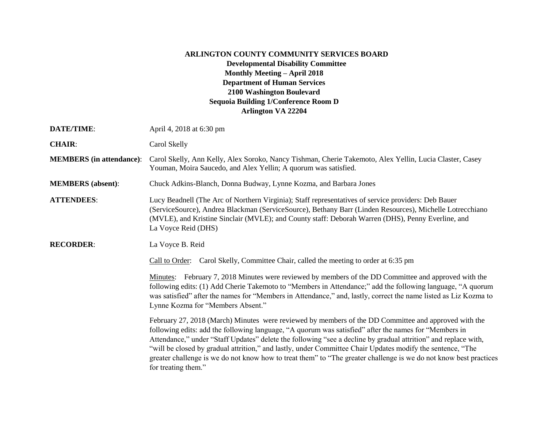## **ARLINGTON COUNTY COMMUNITY SERVICES BOARD Developmental Disability Committee Monthly Meeting – April 2018 Department of Human Services 2100 Washington Boulevard Sequoia Building 1/Conference Room D Arlington VA 22204**

| DATE/TIME:                      | April 4, 2018 at 6:30 pm                                                                                                                                                                                                                                                                                                                                                                                                                                                                                                                                                                  |
|---------------------------------|-------------------------------------------------------------------------------------------------------------------------------------------------------------------------------------------------------------------------------------------------------------------------------------------------------------------------------------------------------------------------------------------------------------------------------------------------------------------------------------------------------------------------------------------------------------------------------------------|
| <b>CHAIR:</b>                   | Carol Skelly                                                                                                                                                                                                                                                                                                                                                                                                                                                                                                                                                                              |
| <b>MEMBERS</b> (in attendance): | Carol Skelly, Ann Kelly, Alex Soroko, Nancy Tishman, Cherie Takemoto, Alex Yellin, Lucia Claster, Casey<br>Youman, Moira Saucedo, and Alex Yellin; A quorum was satisfied.                                                                                                                                                                                                                                                                                                                                                                                                                |
| <b>MEMBERS</b> (absent):        | Chuck Adkins-Blanch, Donna Budway, Lynne Kozma, and Barbara Jones                                                                                                                                                                                                                                                                                                                                                                                                                                                                                                                         |
| <b>ATTENDEES:</b>               | Lucy Beadnell (The Arc of Northern Virginia); Staff representatives of service providers: Deb Bauer<br>(ServiceSource), Andrea Blackman (ServiceSource), Bethany Barr (Linden Resources), Michelle Lotrecchiano<br>(MVLE), and Kristine Sinclair (MVLE); and County staff: Deborah Warren (DHS), Penny Everline, and<br>La Voyce Reid (DHS)                                                                                                                                                                                                                                               |
| <b>RECORDER:</b>                | La Voyce B. Reid                                                                                                                                                                                                                                                                                                                                                                                                                                                                                                                                                                          |
|                                 | Call to Order: Carol Skelly, Committee Chair, called the meeting to order at 6:35 pm                                                                                                                                                                                                                                                                                                                                                                                                                                                                                                      |
|                                 | Minutes: February 7, 2018 Minutes were reviewed by members of the DD Committee and approved with the<br>following edits: (1) Add Cherie Takemoto to "Members in Attendance;" add the following language, "A quorum<br>was satisfied" after the names for "Members in Attendance," and, lastly, correct the name listed as Liz Kozma to<br>Lynne Kozma for "Members Absent."                                                                                                                                                                                                               |
|                                 | February 27, 2018 (March) Minutes were reviewed by members of the DD Committee and approved with the<br>following edits: add the following language, "A quorum was satisfied" after the names for "Members in<br>Attendance," under "Staff Updates" delete the following "see a decline by gradual attrition" and replace with,<br>"will be closed by gradual attrition," and lastly, under Committee Chair Updates modify the sentence, "The<br>greater challenge is we do not know how to treat them" to "The greater challenge is we do not know best practices<br>for treating them." |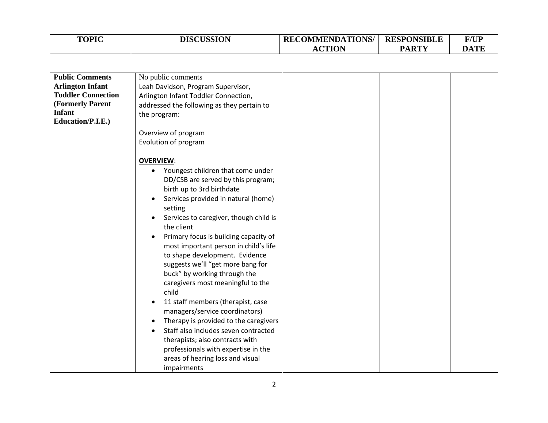| <b>TOPIC</b> | <b>DISCUSSION</b> | <b>RECOMMENDATIONS/</b> | <b>RESPONSIBLE</b> | <b>F/UP</b>   |
|--------------|-------------------|-------------------------|--------------------|---------------|
|              |                   | CTION                   | <b>PARTY</b>       | DATE<br>. I C |

| <b>Public Comments</b>             | No public comments                         |  |  |
|------------------------------------|--------------------------------------------|--|--|
| <b>Arlington Infant</b>            | Leah Davidson, Program Supervisor,         |  |  |
| <b>Toddler Connection</b>          | Arlington Infant Toddler Connection,       |  |  |
| (Formerly Parent                   | addressed the following as they pertain to |  |  |
| <b>Infant</b><br>Education/P.I.E.) | the program:                               |  |  |
|                                    | Overview of program                        |  |  |
|                                    | Evolution of program                       |  |  |
|                                    |                                            |  |  |
|                                    | <b>OVERVIEW:</b>                           |  |  |
|                                    | Youngest children that come under          |  |  |
|                                    | DD/CSB are served by this program;         |  |  |
|                                    | birth up to 3rd birthdate                  |  |  |
|                                    | Services provided in natural (home)        |  |  |
|                                    | setting                                    |  |  |
|                                    | Services to caregiver, though child is     |  |  |
|                                    | the client                                 |  |  |
|                                    | Primary focus is building capacity of      |  |  |
|                                    | most important person in child's life      |  |  |
|                                    | to shape development. Evidence             |  |  |
|                                    | suggests we'll "get more bang for          |  |  |
|                                    | buck" by working through the               |  |  |
|                                    | caregivers most meaningful to the          |  |  |
|                                    | child                                      |  |  |
|                                    | 11 staff members (therapist, case          |  |  |
|                                    | managers/service coordinators)             |  |  |
|                                    | Therapy is provided to the caregivers      |  |  |
|                                    | Staff also includes seven contracted       |  |  |
|                                    | therapists; also contracts with            |  |  |
|                                    | professionals with expertise in the        |  |  |
|                                    | areas of hearing loss and visual           |  |  |
|                                    | impairments                                |  |  |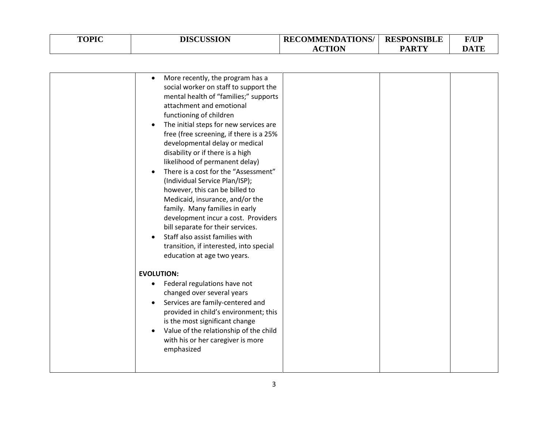| <b>TOPIC</b> | <b>DISCUSSION</b> | <b>RECOMMENDATIONS/ RESPONSIBLE</b> |              | F/UP        |
|--------------|-------------------|-------------------------------------|--------------|-------------|
|              |                   | <b>CTION</b>                        | <b>PARTY</b> | <b>DATE</b> |

| More recently, the program has a<br>social worker on staff to support the<br>mental health of "families;" supports<br>attachment and emotional<br>functioning of children<br>The initial steps for new services are<br>٠<br>free (free screening, if there is a 25%<br>developmental delay or medical<br>disability or if there is a high<br>likelihood of permanent delay)<br>There is a cost for the "Assessment"<br>(Individual Service Plan/ISP);<br>however, this can be billed to<br>Medicaid, insurance, and/or the<br>family. Many families in early<br>development incur a cost. Providers<br>bill separate for their services.<br>Staff also assist families with<br>transition, if interested, into special |  |  |
|------------------------------------------------------------------------------------------------------------------------------------------------------------------------------------------------------------------------------------------------------------------------------------------------------------------------------------------------------------------------------------------------------------------------------------------------------------------------------------------------------------------------------------------------------------------------------------------------------------------------------------------------------------------------------------------------------------------------|--|--|
| education at age two years.                                                                                                                                                                                                                                                                                                                                                                                                                                                                                                                                                                                                                                                                                            |  |  |
|                                                                                                                                                                                                                                                                                                                                                                                                                                                                                                                                                                                                                                                                                                                        |  |  |
| <b>EVOLUTION:</b><br>Federal regulations have not<br>٠<br>changed over several years<br>Services are family-centered and<br>provided in child's environment; this<br>is the most significant change<br>Value of the relationship of the child<br>with his or her caregiver is more<br>emphasized                                                                                                                                                                                                                                                                                                                                                                                                                       |  |  |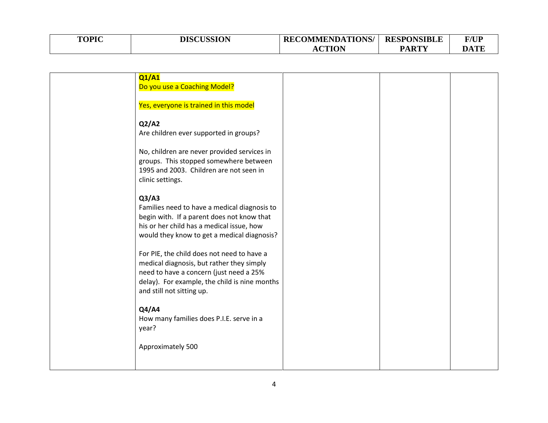| <b>TOPIC</b> | <b>DISCUSSION</b> | <b>RECOMMENDATIONS/ RESPONSIBLE</b> |              | <b>F/UP</b> |
|--------------|-------------------|-------------------------------------|--------------|-------------|
|              |                   | CTION                               | <b>PARTY</b> | <b>DATE</b> |

| Q1/A1<br>Do you use a Coaching Model?                                                                                                                                                                            |  |  |
|------------------------------------------------------------------------------------------------------------------------------------------------------------------------------------------------------------------|--|--|
| Yes, everyone is trained in this model                                                                                                                                                                           |  |  |
| Q2/A2<br>Are children ever supported in groups?                                                                                                                                                                  |  |  |
| No, children are never provided services in<br>groups. This stopped somewhere between<br>1995 and 2003. Children are not seen in<br>clinic settings.                                                             |  |  |
| Q3/AA<br>Families need to have a medical diagnosis to<br>begin with. If a parent does not know that<br>his or her child has a medical issue, how<br>would they know to get a medical diagnosis?                  |  |  |
| For PIE, the child does not need to have a<br>medical diagnosis, but rather they simply<br>need to have a concern (just need a 25%<br>delay). For example, the child is nine months<br>and still not sitting up. |  |  |
| Q4/A4<br>How many families does P.I.E. serve in a<br>year?                                                                                                                                                       |  |  |
| Approximately 500                                                                                                                                                                                                |  |  |
|                                                                                                                                                                                                                  |  |  |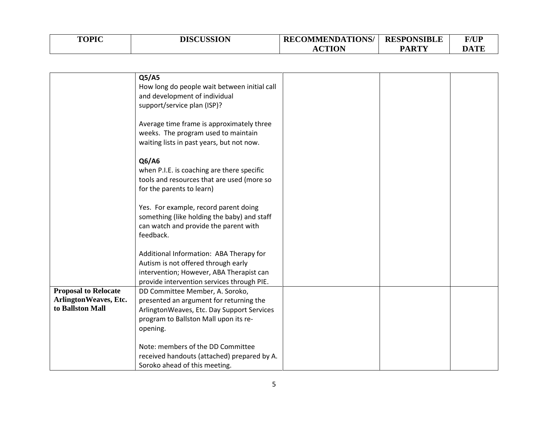| <b>TOPIC</b> | <b>DISCUSSION</b> | <b>RECOMMENDATIONS/</b> | <b>RESPONSIBLE</b> | F/UP        |
|--------------|-------------------|-------------------------|--------------------|-------------|
|              |                   | <b>CTION</b>            | <b>PARTY</b>       | <b>DATE</b> |

|                             | Q5/AS                                        |  |  |
|-----------------------------|----------------------------------------------|--|--|
|                             | How long do people wait between initial call |  |  |
|                             | and development of individual                |  |  |
|                             | support/service plan (ISP)?                  |  |  |
|                             |                                              |  |  |
|                             | Average time frame is approximately three    |  |  |
|                             |                                              |  |  |
|                             | weeks. The program used to maintain          |  |  |
|                             | waiting lists in past years, but not now.    |  |  |
|                             |                                              |  |  |
|                             | Q6/A6                                        |  |  |
|                             | when P.I.E. is coaching are there specific   |  |  |
|                             | tools and resources that are used (more so   |  |  |
|                             | for the parents to learn)                    |  |  |
|                             |                                              |  |  |
|                             | Yes. For example, record parent doing        |  |  |
|                             | something (like holding the baby) and staff  |  |  |
|                             |                                              |  |  |
|                             | can watch and provide the parent with        |  |  |
|                             | feedback.                                    |  |  |
|                             |                                              |  |  |
|                             | Additional Information: ABA Therapy for      |  |  |
|                             | Autism is not offered through early          |  |  |
|                             | intervention; However, ABA Therapist can     |  |  |
|                             | provide intervention services through PIE.   |  |  |
| <b>Proposal to Relocate</b> | DD Committee Member, A. Soroko,              |  |  |
| ArlingtonWeaves, Etc.       | presented an argument for returning the      |  |  |
| to Ballston Mall            | ArlingtonWeaves, Etc. Day Support Services   |  |  |
|                             | program to Ballston Mall upon its re-        |  |  |
|                             | opening.                                     |  |  |
|                             |                                              |  |  |
|                             | Note: members of the DD Committee            |  |  |
|                             | received handouts (attached) prepared by A.  |  |  |
|                             |                                              |  |  |
|                             | Soroko ahead of this meeting.                |  |  |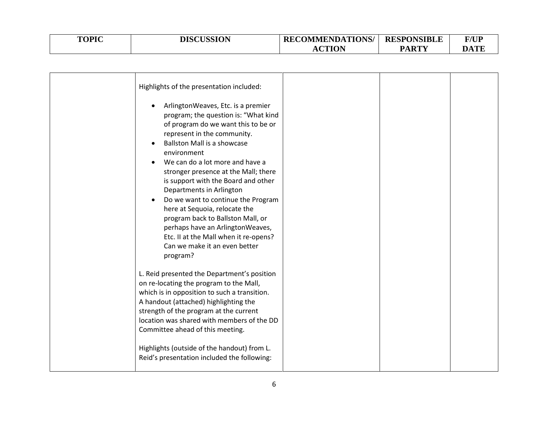| <b>TOPIC</b> | <b>DISCUSSION</b> | <b>RECOMMENDATIONS/</b> | <b>RESPONSIBLE</b> | <b>F/UP</b> |
|--------------|-------------------|-------------------------|--------------------|-------------|
|              |                   | <b>ACTION</b>           | <b>PARTY</b>       | DATE        |

| Highlights of the presentation included:<br>ArlingtonWeaves, Etc. is a premier<br>program; the question is: "What kind<br>of program do we want this to be or<br>represent in the community.<br><b>Ballston Mall is a showcase</b><br>environment<br>We can do a lot more and have a<br>stronger presence at the Mall; there<br>is support with the Board and other<br>Departments in Arlington<br>Do we want to continue the Program<br>here at Sequoia, relocate the<br>program back to Ballston Mall, or<br>perhaps have an ArlingtonWeaves,<br>Etc. II at the Mall when it re-opens?<br>Can we make it an even better |  |  |
|---------------------------------------------------------------------------------------------------------------------------------------------------------------------------------------------------------------------------------------------------------------------------------------------------------------------------------------------------------------------------------------------------------------------------------------------------------------------------------------------------------------------------------------------------------------------------------------------------------------------------|--|--|
| program?<br>L. Reid presented the Department's position<br>on re-locating the program to the Mall,<br>which is in opposition to such a transition.<br>A handout (attached) highlighting the<br>strength of the program at the current<br>location was shared with members of the DD<br>Committee ahead of this meeting.<br>Highlights (outside of the handout) from L.<br>Reid's presentation included the following:                                                                                                                                                                                                     |  |  |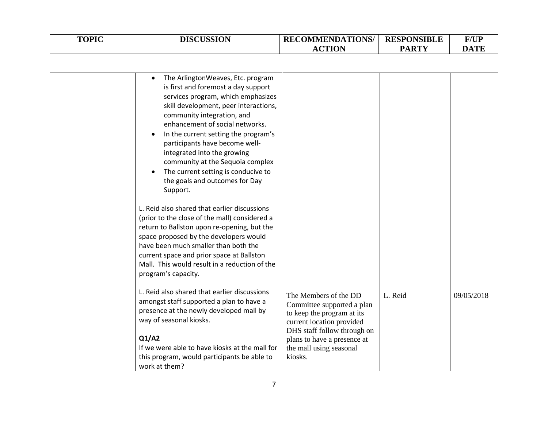| <b>TOPIC</b> | <b>DISCUSSION</b> | <b>RECOMMENDATIONS/ RESPONSIBLE</b> |              | <b>F/UP</b> |
|--------------|-------------------|-------------------------------------|--------------|-------------|
|              |                   | <b>ACTION</b>                       | <b>PARTY</b> | DATE        |

| The ArlingtonWeaves, Etc. program<br>$\bullet$<br>is first and foremost a day support<br>services program, which emphasizes<br>skill development, peer interactions,<br>community integration, and<br>enhancement of social networks.<br>In the current setting the program's<br>participants have become well-<br>integrated into the growing<br>community at the Sequoia complex<br>The current setting is conducive to<br>the goals and outcomes for Day<br>Support. |                                                                                                                                                                                                                    |         |            |
|-------------------------------------------------------------------------------------------------------------------------------------------------------------------------------------------------------------------------------------------------------------------------------------------------------------------------------------------------------------------------------------------------------------------------------------------------------------------------|--------------------------------------------------------------------------------------------------------------------------------------------------------------------------------------------------------------------|---------|------------|
| L. Reid also shared that earlier discussions<br>(prior to the close of the mall) considered a<br>return to Ballston upon re-opening, but the<br>space proposed by the developers would<br>have been much smaller than both the<br>current space and prior space at Ballston<br>Mall. This would result in a reduction of the<br>program's capacity.                                                                                                                     |                                                                                                                                                                                                                    |         |            |
| L. Reid also shared that earlier discussions<br>amongst staff supported a plan to have a<br>presence at the newly developed mall by<br>way of seasonal kiosks.<br>Q1/A2<br>If we were able to have kiosks at the mall for<br>this program, would participants be able to<br>work at them?                                                                                                                                                                               | The Members of the DD<br>Committee supported a plan<br>to keep the program at its<br>current location provided<br>DHS staff follow through on<br>plans to have a presence at<br>the mall using seasonal<br>kiosks. | L. Reid | 09/05/2018 |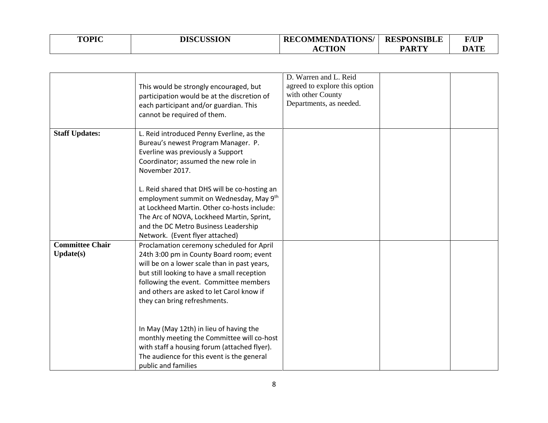| <b>TOPIC</b> | <b>DISCUSSION</b> | <b>RECOMMENDATIONS/</b> | <b>RESPONSIBLE</b> | <b>F/UP</b> |
|--------------|-------------------|-------------------------|--------------------|-------------|
|              |                   | <b>ACTION</b>           | PARTY              | <b>DATE</b> |

|                                            | This would be strongly encouraged, but<br>participation would be at the discretion of<br>each participant and/or guardian. This<br>cannot be required of them.                                                                                                                                              | D. Warren and L. Reid<br>agreed to explore this option<br>with other County<br>Departments, as needed. |  |
|--------------------------------------------|-------------------------------------------------------------------------------------------------------------------------------------------------------------------------------------------------------------------------------------------------------------------------------------------------------------|--------------------------------------------------------------------------------------------------------|--|
| <b>Staff Updates:</b>                      | L. Reid introduced Penny Everline, as the<br>Bureau's newest Program Manager. P.<br>Everline was previously a Support<br>Coordinator; assumed the new role in<br>November 2017.                                                                                                                             |                                                                                                        |  |
|                                            | L. Reid shared that DHS will be co-hosting an<br>employment summit on Wednesday, May 9th<br>at Lockheed Martin. Other co-hosts include:<br>The Arc of NOVA, Lockheed Martin, Sprint,<br>and the DC Metro Business Leadership<br>Network. (Event flyer attached)                                             |                                                                                                        |  |
| <b>Committee Chair</b><br><b>Update(s)</b> | Proclamation ceremony scheduled for April<br>24th 3:00 pm in County Board room; event<br>will be on a lower scale than in past years,<br>but still looking to have a small reception<br>following the event. Committee members<br>and others are asked to let Carol know if<br>they can bring refreshments. |                                                                                                        |  |
|                                            | In May (May 12th) in lieu of having the<br>monthly meeting the Committee will co-host<br>with staff a housing forum (attached flyer).<br>The audience for this event is the general<br>public and families                                                                                                  |                                                                                                        |  |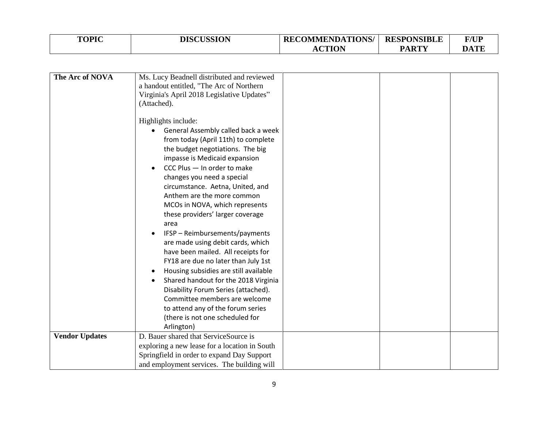| <b>TOPIC</b> | <b>DISCUSSION</b> | <b>RECOMMENDATIONS/</b> | <b>RESPONSIBLE</b> | <b>F/UP</b> |
|--------------|-------------------|-------------------------|--------------------|-------------|
|              |                   | CTION                   | <b>PARTY</b>       | DATE        |

| The Arc of NOVA       | Ms. Lucy Beadnell distributed and reviewed    |  |  |
|-----------------------|-----------------------------------------------|--|--|
|                       | a handout entitled, "The Arc of Northern      |  |  |
|                       | Virginia's April 2018 Legislative Updates"    |  |  |
|                       | (Attached).                                   |  |  |
|                       | Highlights include:                           |  |  |
|                       | General Assembly called back a week           |  |  |
|                       | from today (April 11th) to complete           |  |  |
|                       | the budget negotiations. The big              |  |  |
|                       | impasse is Medicaid expansion                 |  |  |
|                       | CCC Plus - In order to make                   |  |  |
|                       | changes you need a special                    |  |  |
|                       | circumstance. Aetna, United, and              |  |  |
|                       | Anthem are the more common                    |  |  |
|                       | MCOs in NOVA, which represents                |  |  |
|                       | these providers' larger coverage              |  |  |
|                       | area                                          |  |  |
|                       | IFSP - Reimbursements/payments                |  |  |
|                       | are made using debit cards, which             |  |  |
|                       | have been mailed. All receipts for            |  |  |
|                       | FY18 are due no later than July 1st           |  |  |
|                       | Housing subsidies are still available         |  |  |
|                       | Shared handout for the 2018 Virginia          |  |  |
|                       | Disability Forum Series (attached).           |  |  |
|                       | Committee members are welcome                 |  |  |
|                       | to attend any of the forum series             |  |  |
|                       | (there is not one scheduled for               |  |  |
|                       | Arlington)                                    |  |  |
| <b>Vendor Updates</b> | D. Bauer shared that ServiceSource is         |  |  |
|                       | exploring a new lease for a location in South |  |  |
|                       | Springfield in order to expand Day Support    |  |  |
|                       | and employment services. The building will    |  |  |